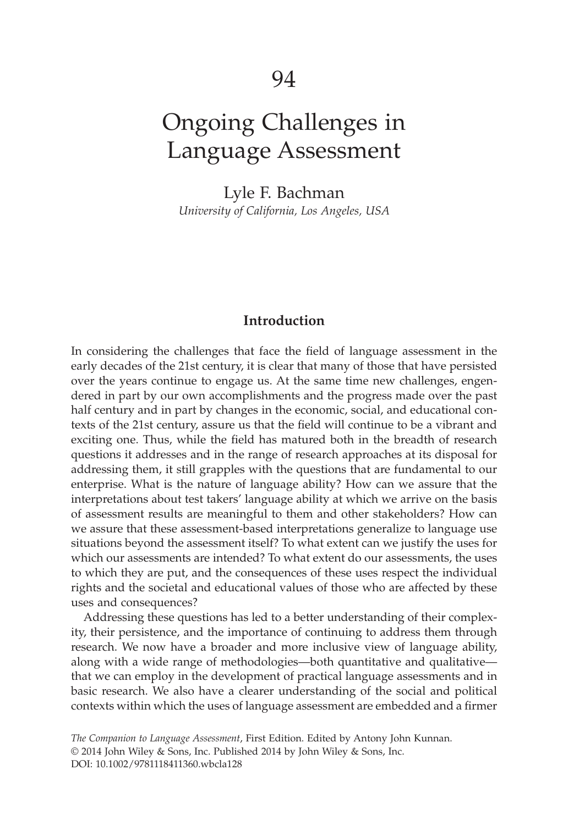# Ongoing Challenges in Language Assessment

Lyle F. Bachman

*University of California, Los Angeles, USA*

# **Introduction**

In considering the challenges that face the field of language assessment in the early decades of the 21st century, it is clear that many of those that have persisted over the years continue to engage us. At the same time new challenges, engendered in part by our own accomplishments and the progress made over the past half century and in part by changes in the economic, social, and educational contexts of the 21st century, assure us that the field will continue to be a vibrant and exciting one. Thus, while the field has matured both in the breadth of research questions it addresses and in the range of research approaches at its disposal for addressing them, it still grapples with the questions that are fundamental to our enterprise. What is the nature of language ability? How can we assure that the interpretations about test takers' language ability at which we arrive on the basis of assessment results are meaningful to them and other stakeholders? How can we assure that these assessment-based interpretations generalize to language use situations beyond the assessment itself? To what extent can we justify the uses for which our assessments are intended? To what extent do our assessments, the uses to which they are put, and the consequences of these uses respect the individual rights and the societal and educational values of those who are affected by these uses and consequences?

Addressing these questions has led to a better understanding of their complexity, their persistence, and the importance of continuing to address them through research. We now have a broader and more inclusive view of language ability, along with a wide range of methodologies—both quantitative and qualitative that we can employ in the development of practical language assessments and in basic research. We also have a clearer understanding of the social and political contexts within which the uses of language assessment are embedded and a firmer

*The Companion to Language Assessment*, First Edition. Edited by Antony John Kunnan. © 2014 John Wiley & Sons, Inc. Published 2014 by John Wiley & Sons, Inc. DOI: 10.1002/9781118411360.wbcla128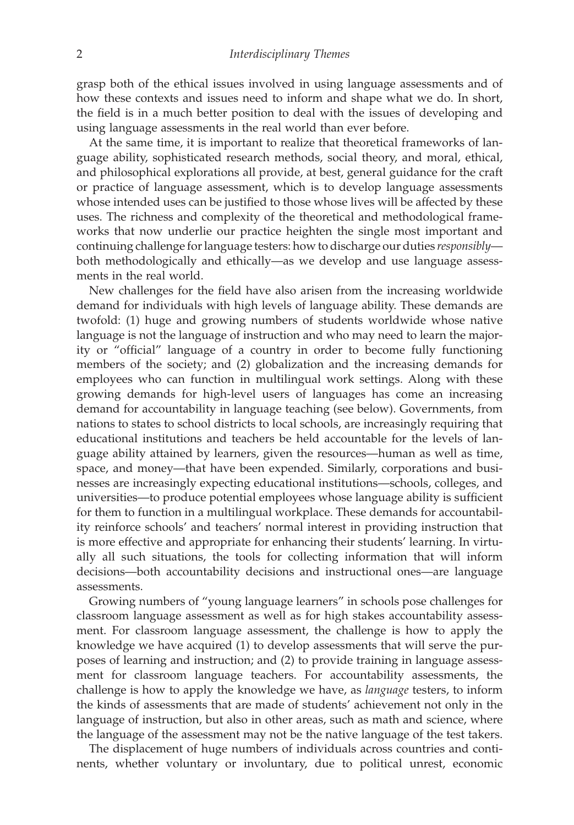grasp both of the ethical issues involved in using language assessments and of how these contexts and issues need to inform and shape what we do. In short, the field is in a much better position to deal with the issues of developing and using language assessments in the real world than ever before.

At the same time, it is important to realize that theoretical frameworks of language ability, sophisticated research methods, social theory, and moral, ethical, and philosophical explorations all provide, at best, general guidance for the craft or practice of language assessment, which is to develop language assessments whose intended uses can be justified to those whose lives will be affected by these uses. The richness and complexity of the theoretical and methodological frameworks that now underlie our practice heighten the single most important and continuing challenge for language testers: how to discharge our duties *responsibly* both methodologically and ethically—as we develop and use language assessments in the real world.

New challenges for the field have also arisen from the increasing worldwide demand for individuals with high levels of language ability. These demands are twofold: (1) huge and growing numbers of students worldwide whose native language is not the language of instruction and who may need to learn the majority or "official" language of a country in order to become fully functioning members of the society; and (2) globalization and the increasing demands for employees who can function in multilingual work settings. Along with these growing demands for high-level users of languages has come an increasing demand for accountability in language teaching (see below). Governments, from nations to states to school districts to local schools, are increasingly requiring that educational institutions and teachers be held accountable for the levels of language ability attained by learners, given the resources—human as well as time, space, and money—that have been expended. Similarly, corporations and businesses are increasingly expecting educational institutions—schools, colleges, and universities—to produce potential employees whose language ability is sufficient for them to function in a multilingual workplace. These demands for accountability reinforce schools' and teachers' normal interest in providing instruction that is more effective and appropriate for enhancing their students' learning. In virtually all such situations, the tools for collecting information that will inform decisions—both accountability decisions and instructional ones—are language assessments.

Growing numbers of "young language learners" in schools pose challenges for classroom language assessment as well as for high stakes accountability assessment. For classroom language assessment, the challenge is how to apply the knowledge we have acquired (1) to develop assessments that will serve the purposes of learning and instruction; and (2) to provide training in language assessment for classroom language teachers. For accountability assessments, the challenge is how to apply the knowledge we have, as *language* testers, to inform the kinds of assessments that are made of students' achievement not only in the language of instruction, but also in other areas, such as math and science, where the language of the assessment may not be the native language of the test takers.

The displacement of huge numbers of individuals across countries and continents, whether voluntary or involuntary, due to political unrest, economic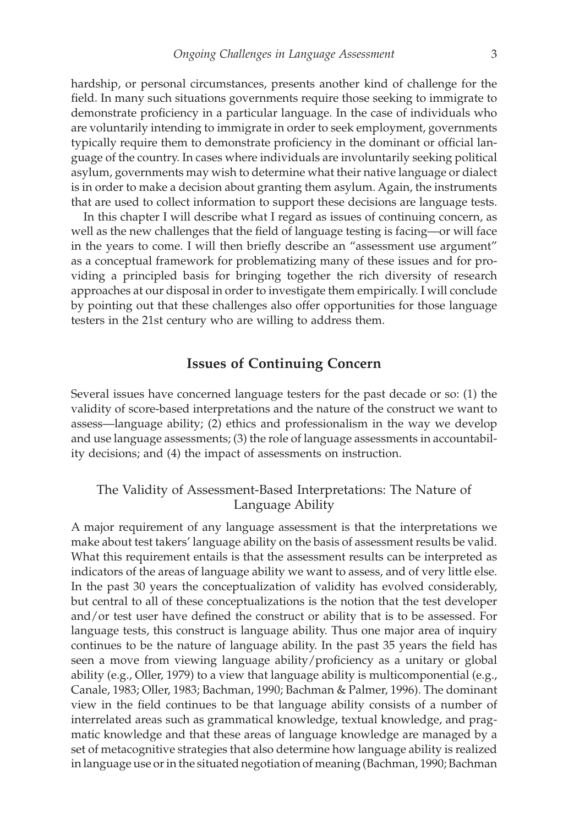hardship, or personal circumstances, presents another kind of challenge for the field. In many such situations governments require those seeking to immigrate to demonstrate proficiency in a particular language. In the case of individuals who are voluntarily intending to immigrate in order to seek employment, governments typically require them to demonstrate proficiency in the dominant or official language of the country. In cases where individuals are involuntarily seeking political asylum, governments may wish to determine what their native language or dialect is in order to make a decision about granting them asylum. Again, the instruments that are used to collect information to support these decisions are language tests.

In this chapter I will describe what I regard as issues of continuing concern, as well as the new challenges that the field of language testing is facing—or will face in the years to come. I will then briefly describe an "assessment use argument" as a conceptual framework for problematizing many of these issues and for providing a principled basis for bringing together the rich diversity of research approaches at our disposal in order to investigate them empirically. I will conclude by pointing out that these challenges also offer opportunities for those language testers in the 21st century who are willing to address them.

## **Issues of Continuing Concern**

Several issues have concerned language testers for the past decade or so: (1) the validity of score-based interpretations and the nature of the construct we want to assess—language ability; (2) ethics and professionalism in the way we develop and use language assessments; (3) the role of language assessments in accountability decisions; and (4) the impact of assessments on instruction.

## The Validity of Assessment-Based Interpretations: The Nature of Language Ability

A major requirement of any language assessment is that the interpretations we make about test takers' language ability on the basis of assessment results be valid. What this requirement entails is that the assessment results can be interpreted as indicators of the areas of language ability we want to assess, and of very little else. In the past 30 years the conceptualization of validity has evolved considerably, but central to all of these conceptualizations is the notion that the test developer and/or test user have defined the construct or ability that is to be assessed. For language tests, this construct is language ability. Thus one major area of inquiry continues to be the nature of language ability. In the past 35 years the field has seen a move from viewing language ability/proficiency as a unitary or global ability (e.g., Oller, 1979) to a view that language ability is multicomponential (e.g., Canale, 1983; Oller, 1983; Bachman, 1990; Bachman & Palmer, 1996). The dominant view in the field continues to be that language ability consists of a number of interrelated areas such as grammatical knowledge, textual knowledge, and pragmatic knowledge and that these areas of language knowledge are managed by a set of metacognitive strategies that also determine how language ability is realized in language use or in the situated negotiation of meaning (Bachman, 1990; Bachman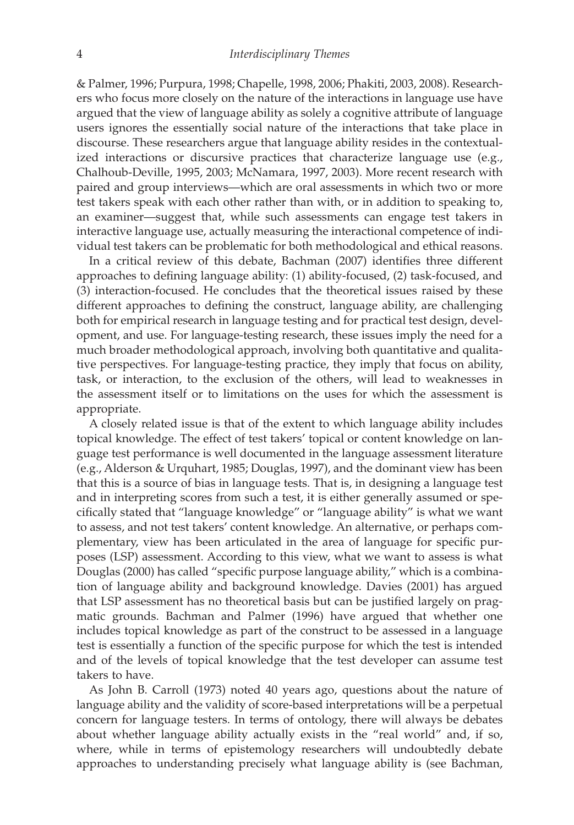& Palmer, 1996; Purpura, 1998; Chapelle, 1998, 2006; Phakiti, 2003, 2008). Researchers who focus more closely on the nature of the interactions in language use have argued that the view of language ability as solely a cognitive attribute of language users ignores the essentially social nature of the interactions that take place in discourse. These researchers argue that language ability resides in the contextualized interactions or discursive practices that characterize language use (e.g., Chalhoub-Deville, 1995, 2003; McNamara, 1997, 2003). More recent research with paired and group interviews—which are oral assessments in which two or more test takers speak with each other rather than with, or in addition to speaking to, an examiner—suggest that, while such assessments can engage test takers in interactive language use, actually measuring the interactional competence of individual test takers can be problematic for both methodological and ethical reasons.

In a critical review of this debate, Bachman (2007) identifies three different approaches to defining language ability: (1) ability-focused, (2) task-focused, and (3) interaction-focused. He concludes that the theoretical issues raised by these different approaches to defining the construct, language ability, are challenging both for empirical research in language testing and for practical test design, development, and use. For language-testing research, these issues imply the need for a much broader methodological approach, involving both quantitative and qualitative perspectives. For language-testing practice, they imply that focus on ability, task, or interaction, to the exclusion of the others, will lead to weaknesses in the assessment itself or to limitations on the uses for which the assessment is appropriate.

A closely related issue is that of the extent to which language ability includes topical knowledge. The effect of test takers' topical or content knowledge on language test performance is well documented in the language assessment literature (e.g., Alderson & Urquhart, 1985; Douglas, 1997), and the dominant view has been that this is a source of bias in language tests. That is, in designing a language test and in interpreting scores from such a test, it is either generally assumed or specifically stated that "language knowledge" or "language ability" is what we want to assess, and not test takers' content knowledge. An alternative, or perhaps complementary, view has been articulated in the area of language for specific purposes (LSP) assessment. According to this view, what we want to assess is what Douglas (2000) has called "specific purpose language ability," which is a combination of language ability and background knowledge. Davies (2001) has argued that LSP assessment has no theoretical basis but can be justified largely on pragmatic grounds. Bachman and Palmer (1996) have argued that whether one includes topical knowledge as part of the construct to be assessed in a language test is essentially a function of the specific purpose for which the test is intended and of the levels of topical knowledge that the test developer can assume test takers to have.

As John B. Carroll (1973) noted 40 years ago, questions about the nature of language ability and the validity of score-based interpretations will be a perpetual concern for language testers. In terms of ontology, there will always be debates about whether language ability actually exists in the "real world" and, if so, where, while in terms of epistemology researchers will undoubtedly debate approaches to understanding precisely what language ability is (see Bachman,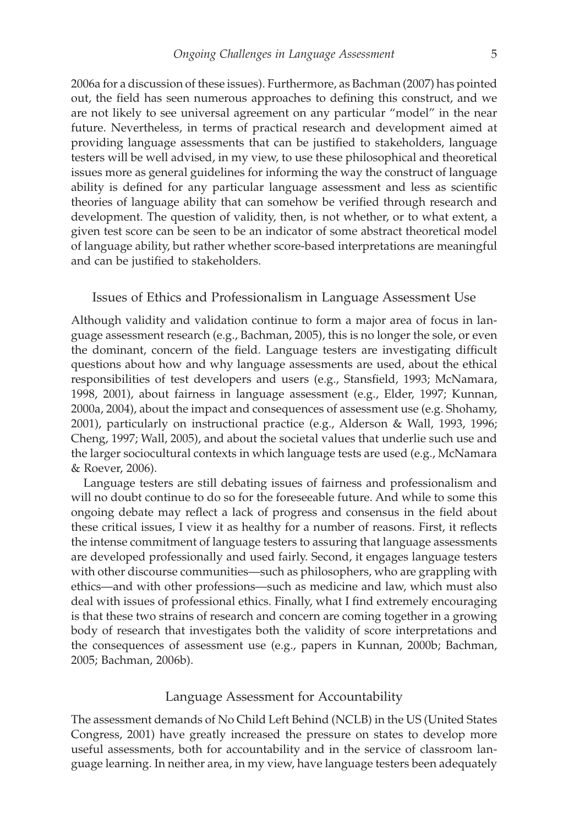2006a for a discussion of these issues). Furthermore, as Bachman (2007) has pointed out, the field has seen numerous approaches to defining this construct, and we are not likely to see universal agreement on any particular "model" in the near future. Nevertheless, in terms of practical research and development aimed at providing language assessments that can be justified to stakeholders, language testers will be well advised, in my view, to use these philosophical and theoretical issues more as general guidelines for informing the way the construct of language ability is defined for any particular language assessment and less as scientific theories of language ability that can somehow be verified through research and development. The question of validity, then, is not whether, or to what extent, a given test score can be seen to be an indicator of some abstract theoretical model of language ability, but rather whether score-based interpretations are meaningful and can be justified to stakeholders.

#### Issues of Ethics and Professionalism in Language Assessment Use

Although validity and validation continue to form a major area of focus in language assessment research (e.g., Bachman, 2005), this is no longer the sole, or even the dominant, concern of the field. Language testers are investigating difficult questions about how and why language assessments are used, about the ethical responsibilities of test developers and users (e.g., Stansfield, 1993; McNamara, 1998, 2001), about fairness in language assessment (e.g., Elder, 1997; Kunnan, 2000a, 2004), about the impact and consequences of assessment use (e.g. Shohamy, 2001), particularly on instructional practice (e.g., Alderson & Wall, 1993, 1996; Cheng, 1997; Wall, 2005), and about the societal values that underlie such use and the larger sociocultural contexts in which language tests are used (e.g., McNamara & Roever, 2006).

Language testers are still debating issues of fairness and professionalism and will no doubt continue to do so for the foreseeable future. And while to some this ongoing debate may reflect a lack of progress and consensus in the field about these critical issues, I view it as healthy for a number of reasons. First, it reflects the intense commitment of language testers to assuring that language assessments are developed professionally and used fairly. Second, it engages language testers with other discourse communities—such as philosophers, who are grappling with ethics—and with other professions—such as medicine and law, which must also deal with issues of professional ethics. Finally, what I find extremely encouraging is that these two strains of research and concern are coming together in a growing body of research that investigates both the validity of score interpretations and the consequences of assessment use (e.g., papers in Kunnan, 2000b; Bachman, 2005; Bachman, 2006b).

#### Language Assessment for Accountability

The assessment demands of No Child Left Behind (NCLB) in the US (United States Congress, 2001) have greatly increased the pressure on states to develop more useful assessments, both for accountability and in the service of classroom language learning. In neither area, in my view, have language testers been adequately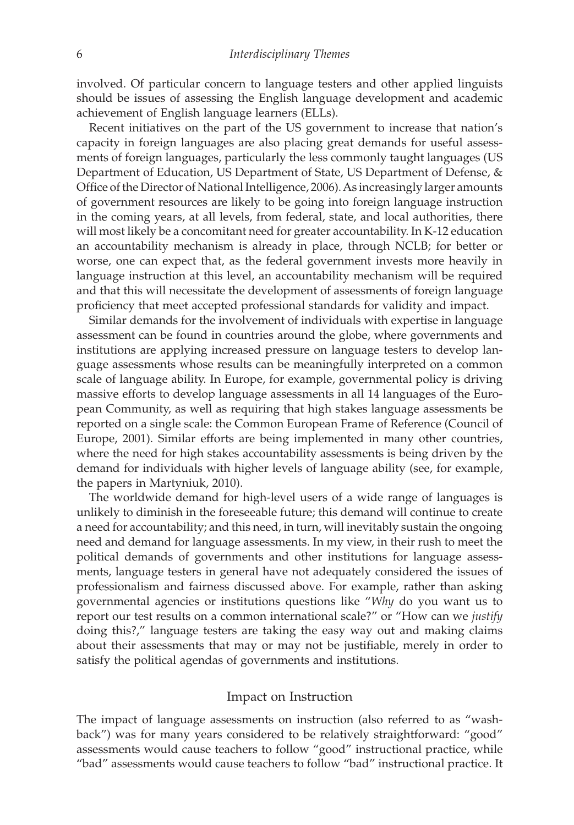involved. Of particular concern to language testers and other applied linguists should be issues of assessing the English language development and academic achievement of English language learners (ELLs).

Recent initiatives on the part of the US government to increase that nation's capacity in foreign languages are also placing great demands for useful assessments of foreign languages, particularly the less commonly taught languages (US Department of Education, US Department of State, US Department of Defense, & Office of the Director of National Intelligence, 2006). As increasingly larger amounts of government resources are likely to be going into foreign language instruction in the coming years, at all levels, from federal, state, and local authorities, there will most likely be a concomitant need for greater accountability. In K-12 education an accountability mechanism is already in place, through NCLB; for better or worse, one can expect that, as the federal government invests more heavily in language instruction at this level, an accountability mechanism will be required and that this will necessitate the development of assessments of foreign language proficiency that meet accepted professional standards for validity and impact.

Similar demands for the involvement of individuals with expertise in language assessment can be found in countries around the globe, where governments and institutions are applying increased pressure on language testers to develop language assessments whose results can be meaningfully interpreted on a common scale of language ability. In Europe, for example, governmental policy is driving massive efforts to develop language assessments in all 14 languages of the European Community, as well as requiring that high stakes language assessments be reported on a single scale: the Common European Frame of Reference (Council of Europe, 2001). Similar efforts are being implemented in many other countries, where the need for high stakes accountability assessments is being driven by the demand for individuals with higher levels of language ability (see, for example, the papers in Martyniuk, 2010).

The worldwide demand for high-level users of a wide range of languages is unlikely to diminish in the foreseeable future; this demand will continue to create a need for accountability; and this need, in turn, will inevitably sustain the ongoing need and demand for language assessments. In my view, in their rush to meet the political demands of governments and other institutions for language assessments, language testers in general have not adequately considered the issues of professionalism and fairness discussed above. For example, rather than asking governmental agencies or institutions questions like "*Why* do you want us to report our test results on a common international scale?" or "How can we *justify* doing this?," language testers are taking the easy way out and making claims about their assessments that may or may not be justifiable, merely in order to satisfy the political agendas of governments and institutions.

#### Impact on Instruction

The impact of language assessments on instruction (also referred to as "washback") was for many years considered to be relatively straightforward: "good" assessments would cause teachers to follow "good" instructional practice, while "bad" assessments would cause teachers to follow "bad" instructional practice. It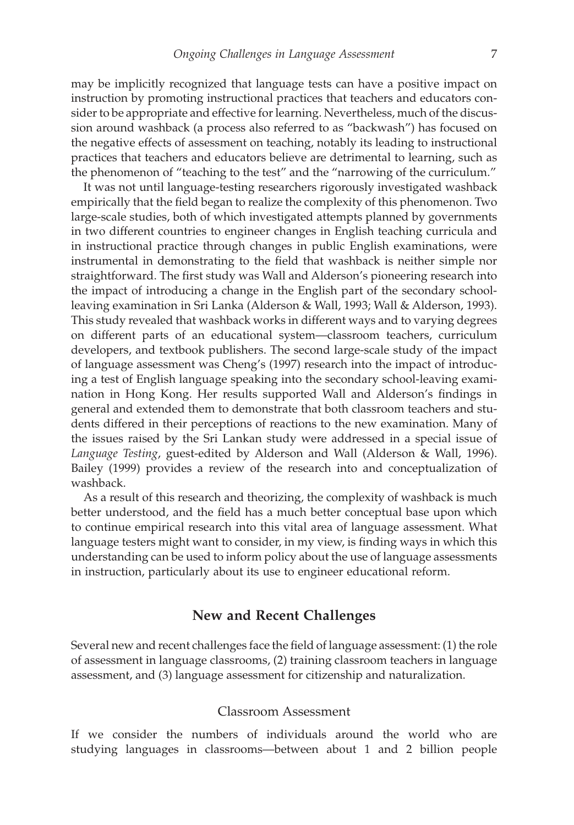may be implicitly recognized that language tests can have a positive impact on instruction by promoting instructional practices that teachers and educators consider to be appropriate and effective for learning. Nevertheless, much of the discussion around washback (a process also referred to as "backwash") has focused on the negative effects of assessment on teaching, notably its leading to instructional practices that teachers and educators believe are detrimental to learning, such as the phenomenon of "teaching to the test" and the "narrowing of the curriculum."

It was not until language-testing researchers rigorously investigated washback empirically that the field began to realize the complexity of this phenomenon. Two large-scale studies, both of which investigated attempts planned by governments in two different countries to engineer changes in English teaching curricula and in instructional practice through changes in public English examinations, were instrumental in demonstrating to the field that washback is neither simple nor straightforward. The first study was Wall and Alderson's pioneering research into the impact of introducing a change in the English part of the secondary schoolleaving examination in Sri Lanka (Alderson & Wall, 1993; Wall & Alderson, 1993). This study revealed that washback works in different ways and to varying degrees on different parts of an educational system—classroom teachers, curriculum developers, and textbook publishers. The second large-scale study of the impact of language assessment was Cheng's (1997) research into the impact of introducing a test of English language speaking into the secondary school-leaving examination in Hong Kong. Her results supported Wall and Alderson's findings in general and extended them to demonstrate that both classroom teachers and students differed in their perceptions of reactions to the new examination. Many of the issues raised by the Sri Lankan study were addressed in a special issue of *Language Testing*, guest-edited by Alderson and Wall (Alderson & Wall, 1996). Bailey (1999) provides a review of the research into and conceptualization of washback.

As a result of this research and theorizing, the complexity of washback is much better understood, and the field has a much better conceptual base upon which to continue empirical research into this vital area of language assessment. What language testers might want to consider, in my view, is finding ways in which this understanding can be used to inform policy about the use of language assessments in instruction, particularly about its use to engineer educational reform.

#### **New and Recent Challenges**

Several new and recent challenges face the field of language assessment: (1) the role of assessment in language classrooms, (2) training classroom teachers in language assessment, and (3) language assessment for citizenship and naturalization.

#### Classroom Assessment

If we consider the numbers of individuals around the world who are studying languages in classrooms—between about 1 and 2 billion people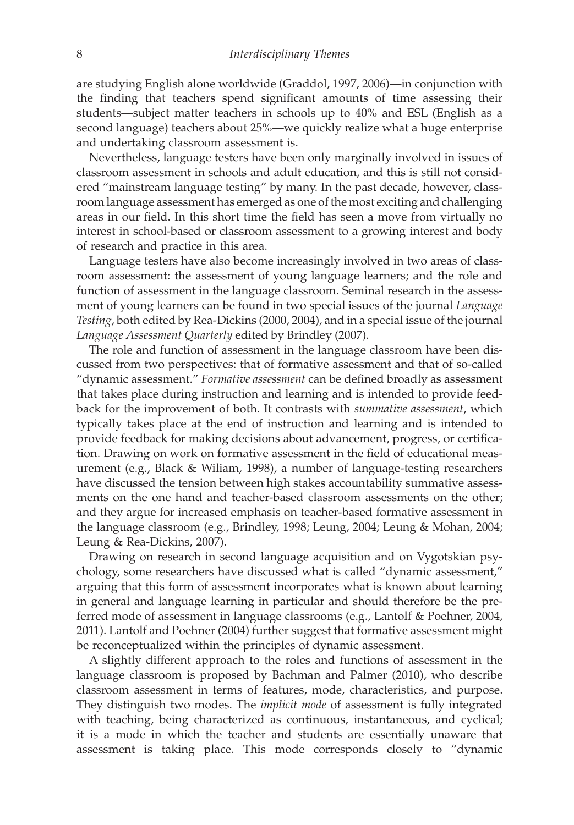are studying English alone worldwide (Graddol, 1997, 2006)—in conjunction with the finding that teachers spend significant amounts of time assessing their students—subject matter teachers in schools up to 40% and ESL (English as a second language) teachers about 25%—we quickly realize what a huge enterprise and undertaking classroom assessment is.

Nevertheless, language testers have been only marginally involved in issues of classroom assessment in schools and adult education, and this is still not considered "mainstream language testing" by many. In the past decade, however, classroom language assessment has emerged as one of the most exciting and challenging areas in our field. In this short time the field has seen a move from virtually no interest in school-based or classroom assessment to a growing interest and body of research and practice in this area.

Language testers have also become increasingly involved in two areas of classroom assessment: the assessment of young language learners; and the role and function of assessment in the language classroom. Seminal research in the assessment of young learners can be found in two special issues of the journal *Language Testing*, both edited by Rea-Dickins (2000, 2004), and in a special issue of the journal *Language Assessment Quarterly* edited by Brindley (2007).

The role and function of assessment in the language classroom have been discussed from two perspectives: that of formative assessment and that of so-called "dynamic assessment." *Formative assessment* can be defined broadly as assessment that takes place during instruction and learning and is intended to provide feedback for the improvement of both. It contrasts with *summative assessment*, which typically takes place at the end of instruction and learning and is intended to provide feedback for making decisions about advancement, progress, or certification. Drawing on work on formative assessment in the field of educational measurement (e.g., Black & Wiliam, 1998), a number of language-testing researchers have discussed the tension between high stakes accountability summative assessments on the one hand and teacher-based classroom assessments on the other; and they argue for increased emphasis on teacher-based formative assessment in the language classroom (e.g., Brindley, 1998; Leung, 2004; Leung & Mohan, 2004; Leung & Rea-Dickins, 2007).

Drawing on research in second language acquisition and on Vygotskian psychology, some researchers have discussed what is called "dynamic assessment," arguing that this form of assessment incorporates what is known about learning in general and language learning in particular and should therefore be the preferred mode of assessment in language classrooms (e.g., Lantolf & Poehner, 2004, 2011). Lantolf and Poehner (2004) further suggest that formative assessment might be reconceptualized within the principles of dynamic assessment.

A slightly different approach to the roles and functions of assessment in the language classroom is proposed by Bachman and Palmer (2010), who describe classroom assessment in terms of features, mode, characteristics, and purpose. They distinguish two modes. The *implicit mode* of assessment is fully integrated with teaching, being characterized as continuous, instantaneous, and cyclical; it is a mode in which the teacher and students are essentially unaware that assessment is taking place. This mode corresponds closely to "dynamic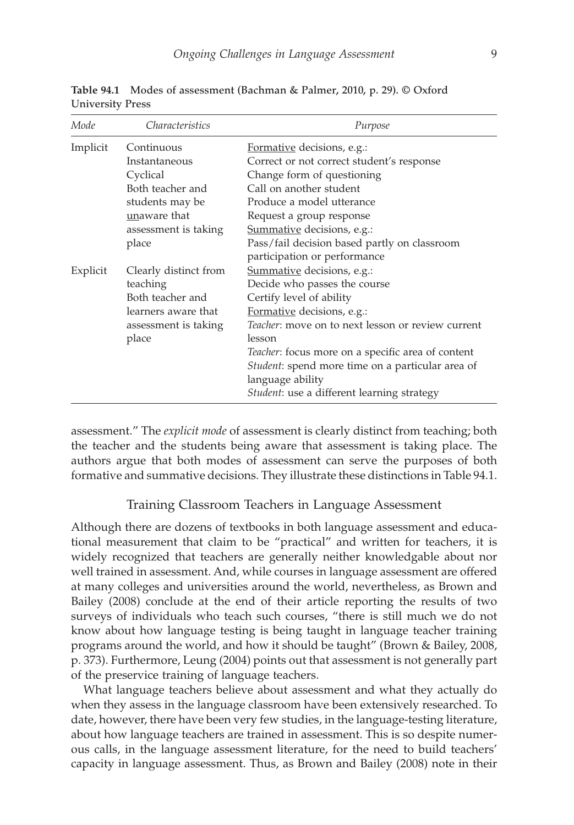| Mode     | <i>Characteristics</i> | Purpose                                                  |
|----------|------------------------|----------------------------------------------------------|
| Implicit | Continuous             | Formative decisions, e.g.:                               |
|          | Instantaneous          | Correct or not correct student's response                |
|          | Cyclical               | Change form of questioning                               |
|          | Both teacher and       | Call on another student                                  |
|          | students may be        | Produce a model utterance                                |
|          | unaware that           | Request a group response                                 |
|          | assessment is taking   | Summative decisions, e.g.:                               |
|          | place                  | Pass/fail decision based partly on classroom             |
|          |                        | participation or performance                             |
| Explicit | Clearly distinct from  | Summative decisions, e.g.:                               |
|          | teaching               | Decide who passes the course                             |
|          | Both teacher and       | Certify level of ability                                 |
|          | learners aware that    | Formative decisions, e.g.:                               |
|          | assessment is taking   | <i>Teacher:</i> move on to next lesson or review current |
|          | place                  | lesson                                                   |
|          |                        | <i>Teacher:</i> focus more on a specific area of content |
|          |                        | <i>Student:</i> spend more time on a particular area of  |
|          |                        | language ability                                         |
|          |                        | <i>Student</i> : use a different learning strategy       |

**Table 94.1** Modes of assessment (Bachman & Palmer, 2010, p. 29). © Oxford University Press

assessment." The *explicit mode* of assessment is clearly distinct from teaching; both the teacher and the students being aware that assessment is taking place. The authors argue that both modes of assessment can serve the purposes of both formative and summative decisions. They illustrate these distinctions in Table 94.1.

#### Training Classroom Teachers in Language Assessment

Although there are dozens of textbooks in both language assessment and educational measurement that claim to be "practical" and written for teachers, it is widely recognized that teachers are generally neither knowledgable about nor well trained in assessment. And, while courses in language assessment are offered at many colleges and universities around the world, nevertheless, as Brown and Bailey (2008) conclude at the end of their article reporting the results of two surveys of individuals who teach such courses, "there is still much we do not know about how language testing is being taught in language teacher training programs around the world, and how it should be taught" (Brown & Bailey, 2008, p. 373). Furthermore, Leung (2004) points out that assessment is not generally part of the preservice training of language teachers.

What language teachers believe about assessment and what they actually do when they assess in the language classroom have been extensively researched. To date, however, there have been very few studies, in the language-testing literature, about how language teachers are trained in assessment. This is so despite numerous calls, in the language assessment literature, for the need to build teachers' capacity in language assessment. Thus, as Brown and Bailey (2008) note in their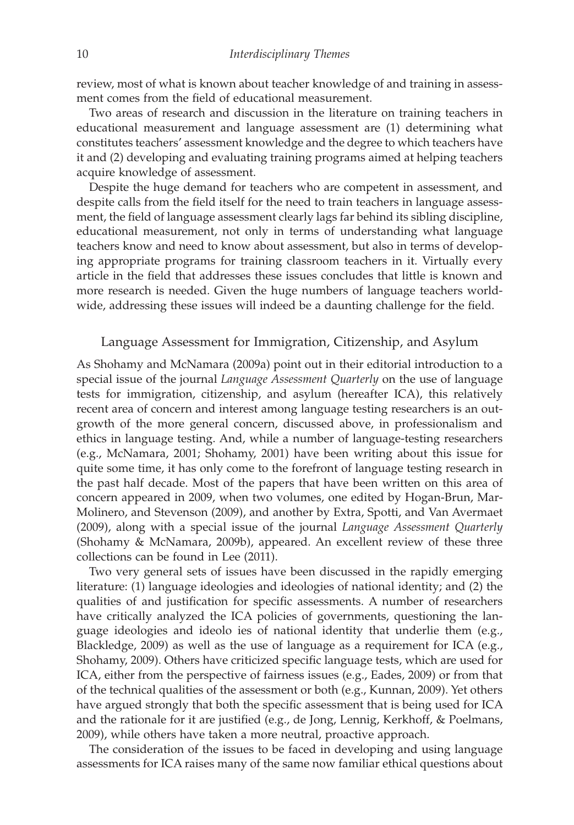review, most of what is known about teacher knowledge of and training in assessment comes from the field of educational measurement.

Two areas of research and discussion in the literature on training teachers in educational measurement and language assessment are (1) determining what constitutes teachers' assessment knowledge and the degree to which teachers have it and (2) developing and evaluating training programs aimed at helping teachers acquire knowledge of assessment.

Despite the huge demand for teachers who are competent in assessment, and despite calls from the field itself for the need to train teachers in language assessment, the field of language assessment clearly lags far behind its sibling discipline, educational measurement, not only in terms of understanding what language teachers know and need to know about assessment, but also in terms of developing appropriate programs for training classroom teachers in it. Virtually every article in the field that addresses these issues concludes that little is known and more research is needed. Given the huge numbers of language teachers worldwide, addressing these issues will indeed be a daunting challenge for the field.

#### Language Assessment for Immigration, Citizenship, and Asylum

As Shohamy and McNamara (2009a) point out in their editorial introduction to a special issue of the journal *Language Assessment Quarterly* on the use of language tests for immigration, citizenship, and asylum (hereafter ICA), this relatively recent area of concern and interest among language testing researchers is an outgrowth of the more general concern, discussed above, in professionalism and ethics in language testing. And, while a number of language-testing researchers (e.g., McNamara, 2001; Shohamy, 2001) have been writing about this issue for quite some time, it has only come to the forefront of language testing research in the past half decade. Most of the papers that have been written on this area of concern appeared in 2009, when two volumes, one edited by Hogan-Brun, Mar-Molinero, and Stevenson (2009), and another by Extra, Spotti, and Van Avermaet (2009), along with a special issue of the journal *Language Assessment Quarterly* (Shohamy & McNamara, 2009b), appeared. An excellent review of these three collections can be found in Lee (2011).

Two very general sets of issues have been discussed in the rapidly emerging literature: (1) language ideologies and ideologies of national identity; and (2) the qualities of and justification for specific assessments. A number of researchers have critically analyzed the ICA policies of governments, questioning the language ideologies and ideolo ies of national identity that underlie them (e.g., Blackledge, 2009) as well as the use of language as a requirement for ICA (e.g., Shohamy, 2009). Others have criticized specific language tests, which are used for ICA, either from the perspective of fairness issues (e.g., Eades, 2009) or from that of the technical qualities of the assessment or both (e.g., Kunnan, 2009). Yet others have argued strongly that both the specific assessment that is being used for ICA and the rationale for it are justified (e.g., de Jong, Lennig, Kerkhoff, & Poelmans, 2009), while others have taken a more neutral, proactive approach.

The consideration of the issues to be faced in developing and using language assessments for ICA raises many of the same now familiar ethical questions about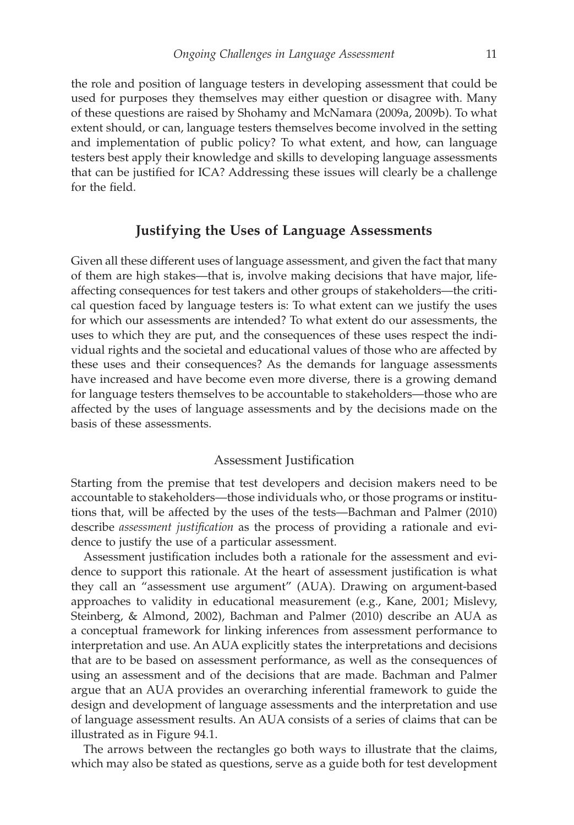the role and position of language testers in developing assessment that could be used for purposes they themselves may either question or disagree with. Many of these questions are raised by Shohamy and McNamara (2009a, 2009b). To what extent should, or can, language testers themselves become involved in the setting and implementation of public policy? To what extent, and how, can language testers best apply their knowledge and skills to developing language assessments that can be justified for ICA? Addressing these issues will clearly be a challenge for the field.

## **Justifying the Uses of Language Assessments**

Given all these different uses of language assessment, and given the fact that many of them are high stakes—that is, involve making decisions that have major, lifeaffecting consequences for test takers and other groups of stakeholders—the critical question faced by language testers is: To what extent can we justify the uses for which our assessments are intended? To what extent do our assessments, the uses to which they are put, and the consequences of these uses respect the individual rights and the societal and educational values of those who are affected by these uses and their consequences? As the demands for language assessments have increased and have become even more diverse, there is a growing demand for language testers themselves to be accountable to stakeholders—those who are affected by the uses of language assessments and by the decisions made on the basis of these assessments.

### Assessment Justification

Starting from the premise that test developers and decision makers need to be accountable to stakeholders—those individuals who, or those programs or institutions that, will be affected by the uses of the tests—Bachman and Palmer (2010) describe *assessment justification* as the process of providing a rationale and evidence to justify the use of a particular assessment.

Assessment justification includes both a rationale for the assessment and evidence to support this rationale. At the heart of assessment justification is what they call an "assessment use argument" (AUA). Drawing on argument-based approaches to validity in educational measurement (e.g., Kane, 2001; Mislevy, Steinberg, & Almond, 2002), Bachman and Palmer (2010) describe an AUA as a conceptual framework for linking inferences from assessment performance to interpretation and use. An AUA explicitly states the interpretations and decisions that are to be based on assessment performance, as well as the consequences of using an assessment and of the decisions that are made. Bachman and Palmer argue that an AUA provides an overarching inferential framework to guide the design and development of language assessments and the interpretation and use of language assessment results. An AUA consists of a series of claims that can be illustrated as in Figure 94.1.

The arrows between the rectangles go both ways to illustrate that the claims, which may also be stated as questions, serve as a guide both for test development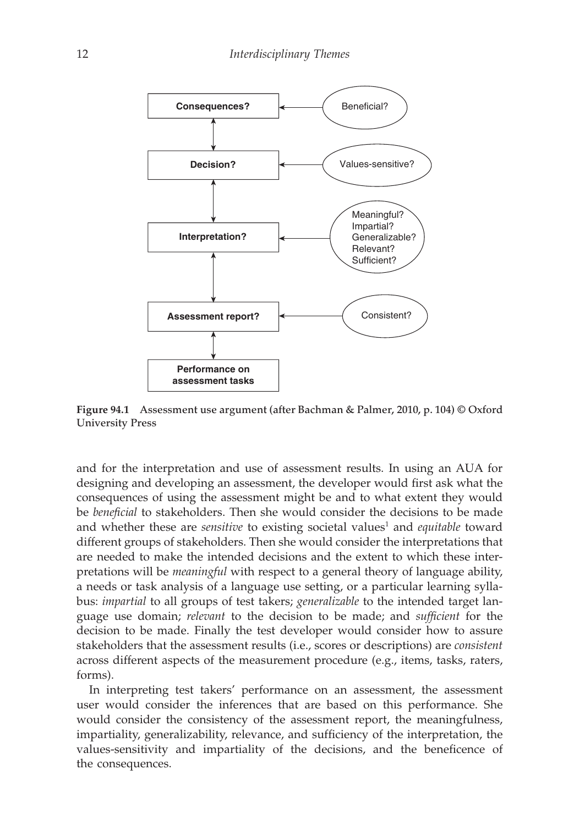

**Figure 94.1** Assessment use argument (after Bachman & Palmer, 2010, p. 104) © Oxford University Press

and for the interpretation and use of assessment results. In using an AUA for designing and developing an assessment, the developer would first ask what the consequences of using the assessment might be and to what extent they would be *beneficial* to stakeholders. Then she would consider the decisions to be made and whether these are *sensitive* to existing societal values<sup>1</sup> and *equitable* toward different groups of stakeholders. Then she would consider the interpretations that are needed to make the intended decisions and the extent to which these interpretations will be *meaningful* with respect to a general theory of language ability, a needs or task analysis of a language use setting, or a particular learning syllabus: *impartial* to all groups of test takers; *generalizable* to the intended target language use domain; *relevant* to the decision to be made; and *sufficient* for the decision to be made. Finally the test developer would consider how to assure stakeholders that the assessment results (i.e., scores or descriptions) are *consistent* across different aspects of the measurement procedure (e.g., items, tasks, raters, forms).

In interpreting test takers' performance on an assessment, the assessment user would consider the inferences that are based on this performance. She would consider the consistency of the assessment report, the meaningfulness, impartiality, generalizability, relevance, and sufficiency of the interpretation, the values-sensitivity and impartiality of the decisions, and the beneficence of the consequences.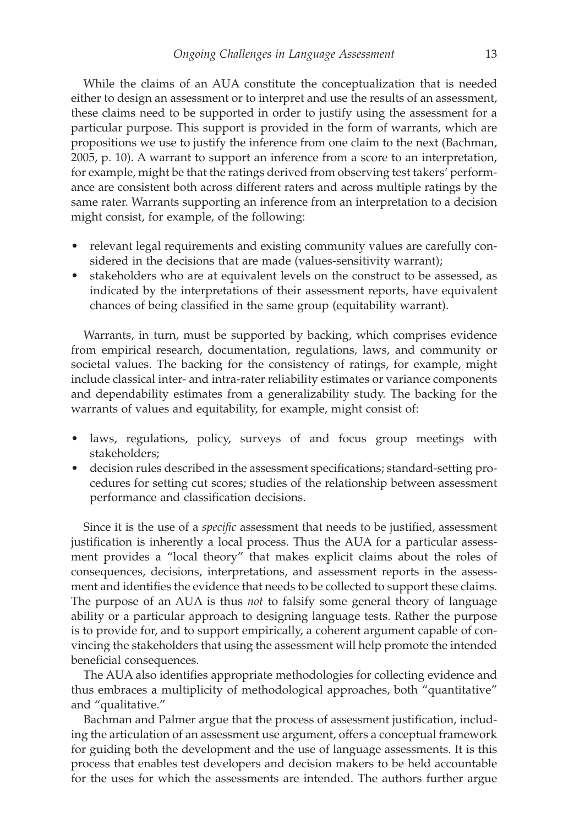While the claims of an AUA constitute the conceptualization that is needed either to design an assessment or to interpret and use the results of an assessment, these claims need to be supported in order to justify using the assessment for a particular purpose. This support is provided in the form of warrants, which are propositions we use to justify the inference from one claim to the next (Bachman, 2005, p. 10). A warrant to support an inference from a score to an interpretation, for example, might be that the ratings derived from observing test takers' performance are consistent both across different raters and across multiple ratings by the same rater. Warrants supporting an inference from an interpretation to a decision might consist, for example, of the following:

- relevant legal requirements and existing community values are carefully considered in the decisions that are made (values-sensitivity warrant);
- stakeholders who are at equivalent levels on the construct to be assessed, as indicated by the interpretations of their assessment reports, have equivalent chances of being classified in the same group (equitability warrant).

Warrants, in turn, must be supported by backing, which comprises evidence from empirical research, documentation, regulations, laws, and community or societal values. The backing for the consistency of ratings, for example, might include classical inter- and intra-rater reliability estimates or variance components and dependability estimates from a generalizability study. The backing for the warrants of values and equitability, for example, might consist of:

- laws, regulations, policy, surveys of and focus group meetings with stakeholders;
- decision rules described in the assessment specifications; standard-setting procedures for setting cut scores; studies of the relationship between assessment performance and classification decisions.

Since it is the use of a *specific* assessment that needs to be justified, assessment justification is inherently a local process. Thus the AUA for a particular assessment provides a "local theory" that makes explicit claims about the roles of consequences, decisions, interpretations, and assessment reports in the assessment and identifies the evidence that needs to be collected to support these claims. The purpose of an AUA is thus *not* to falsify some general theory of language ability or a particular approach to designing language tests. Rather the purpose is to provide for, and to support empirically, a coherent argument capable of convincing the stakeholders that using the assessment will help promote the intended beneficial consequences.

The AUA also identifies appropriate methodologies for collecting evidence and thus embraces a multiplicity of methodological approaches, both "quantitative" and "qualitative."

Bachman and Palmer argue that the process of assessment justification, including the articulation of an assessment use argument, offers a conceptual framework for guiding both the development and the use of language assessments. It is this process that enables test developers and decision makers to be held accountable for the uses for which the assessments are intended. The authors further argue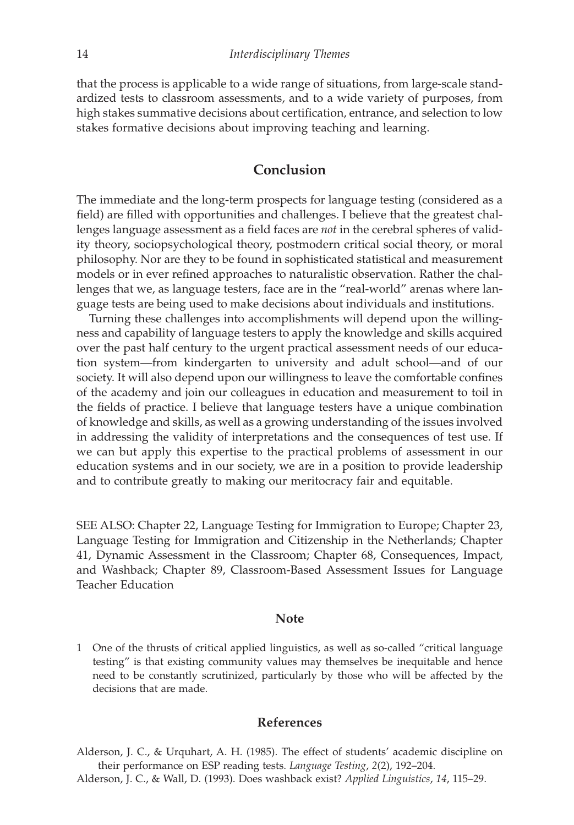that the process is applicable to a wide range of situations, from large-scale standardized tests to classroom assessments, and to a wide variety of purposes, from high stakes summative decisions about certification, entrance, and selection to low stakes formative decisions about improving teaching and learning.

## **Conclusion**

The immediate and the long-term prospects for language testing (considered as a field) are filled with opportunities and challenges. I believe that the greatest challenges language assessment as a field faces are *not* in the cerebral spheres of validity theory, sociopsychological theory, postmodern critical social theory, or moral philosophy. Nor are they to be found in sophisticated statistical and measurement models or in ever refined approaches to naturalistic observation. Rather the challenges that we, as language testers, face are in the "real-world" arenas where language tests are being used to make decisions about individuals and institutions.

Turning these challenges into accomplishments will depend upon the willingness and capability of language testers to apply the knowledge and skills acquired over the past half century to the urgent practical assessment needs of our education system—from kindergarten to university and adult school—and of our society. It will also depend upon our willingness to leave the comfortable confines of the academy and join our colleagues in education and measurement to toil in the fields of practice. I believe that language testers have a unique combination of knowledge and skills, as well as a growing understanding of the issues involved in addressing the validity of interpretations and the consequences of test use. If we can but apply this expertise to the practical problems of assessment in our education systems and in our society, we are in a position to provide leadership and to contribute greatly to making our meritocracy fair and equitable.

SEE ALSO: Chapter 22, Language Testing for Immigration to Europe; Chapter 23, Language Testing for Immigration and Citizenship in the Netherlands; Chapter 41, Dynamic Assessment in the Classroom; Chapter 68, Consequences, Impact, and Washback; Chapter 89, Classroom-Based Assessment Issues for Language Teacher Education

#### **Note**

1 One of the thrusts of critical applied linguistics, as well as so-called "critical language testing" is that existing community values may themselves be inequitable and hence need to be constantly scrutinized, particularly by those who will be affected by the decisions that are made.

#### **References**

Alderson, J. C., & Urquhart, A. H. (1985). The effect of students' academic discipline on their performance on ESP reading tests. *Language Testing*, *2*(2), 192–204.

Alderson, J. C., & Wall, D. (1993). Does washback exist? *Applied Linguistics*, *14*, 115–29.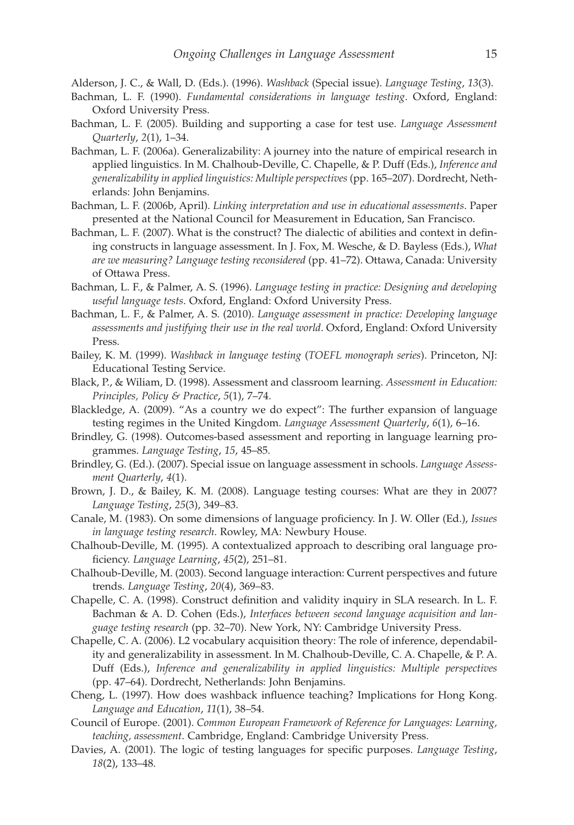Alderson, J. C., & Wall, D. (Eds.). (1996). *Washback* (Special issue). *Language Testing*, *13*(3).

- Bachman, L. F. (1990). *Fundamental considerations in language testing*. Oxford, England: Oxford University Press.
- Bachman, L. F. (2005). Building and supporting a case for test use. *Language Assessment Quarterly*, *2*(1), 1–34.
- Bachman, L. F. (2006a). Generalizability: A journey into the nature of empirical research in applied linguistics. In M. Chalhoub-Deville, C. Chapelle, & P. Duff (Eds.), *Inference and generalizability in applied linguistics: Multiple perspectives* (pp. 165–207). Dordrecht, Netherlands: John Benjamins.
- Bachman, L. F. (2006b, April). *Linking interpretation and use in educational assessments*. Paper presented at the National Council for Measurement in Education, San Francisco.
- Bachman, L. F. (2007). What is the construct? The dialectic of abilities and context in defining constructs in language assessment. In J. Fox, M. Wesche, & D. Bayless (Eds.), *What are we measuring? Language testing reconsidered* (pp. 41–72). Ottawa, Canada: University of Ottawa Press.
- Bachman, L. F., & Palmer, A. S. (1996). *Language testing in practice: Designing and developing useful language tests*. Oxford, England: Oxford University Press.
- Bachman, L. F., & Palmer, A. S. (2010). *Language assessment in practice: Developing language assessments and justifying their use in the real world*. Oxford, England: Oxford University Press.
- Bailey, K. M. (1999). *Washback in language testing* (*TOEFL monograph series*). Princeton, NJ: Educational Testing Service.
- Black, P., & Wiliam, D. (1998). Assessment and classroom learning. *Assessment in Education: Principles, Policy & Practice*, *5*(1), 7–74.
- Blackledge, A. (2009). "As a country we do expect": The further expansion of language testing regimes in the United Kingdom. *Language Assessment Quarterly*, *6*(1), 6–16.
- Brindley, G. (1998). Outcomes-based assessment and reporting in language learning programmes. *Language Testing*, *15*, 45–85.
- Brindley, G. (Ed.). (2007). Special issue on language assessment in schools. *Language Assessment Quarterly*, *4*(1).
- Brown, J. D., & Bailey, K. M. (2008). Language testing courses: What are they in 2007? *Language Testing*, *25*(3), 349–83.
- Canale, M. (1983). On some dimensions of language proficiency. In J. W. Oller (Ed.), *Issues in language testing research*. Rowley, MA: Newbury House.
- Chalhoub-Deville, M. (1995). A contextualized approach to describing oral language proficiency. *Language Learning*, *45*(2), 251–81.
- Chalhoub-Deville, M. (2003). Second language interaction: Current perspectives and future trends. *Language Testing*, *20*(4), 369–83.
- Chapelle, C. A. (1998). Construct definition and validity inquiry in SLA research. In L. F. Bachman & A. D. Cohen (Eds.), *Interfaces between second language acquisition and language testing research* (pp. 32–70). New York, NY: Cambridge University Press.
- Chapelle, C. A. (2006). L2 vocabulary acquisition theory: The role of inference, dependability and generalizability in assessment. In M. Chalhoub-Deville, C. A. Chapelle, & P. A. Duff (Eds.), *Inference and generalizability in applied linguistics: Multiple perspectives* (pp. 47–64). Dordrecht, Netherlands: John Benjamins.
- Cheng, L. (1997). How does washback influence teaching? Implications for Hong Kong. *Language and Education*, *11*(1), 38–54.
- Council of Europe. (2001). *Common European Framework of Reference for Languages: Learning, teaching, assessment*. Cambridge, England: Cambridge University Press.
- Davies, A. (2001). The logic of testing languages for specific purposes. *Language Testing*, *18*(2), 133–48.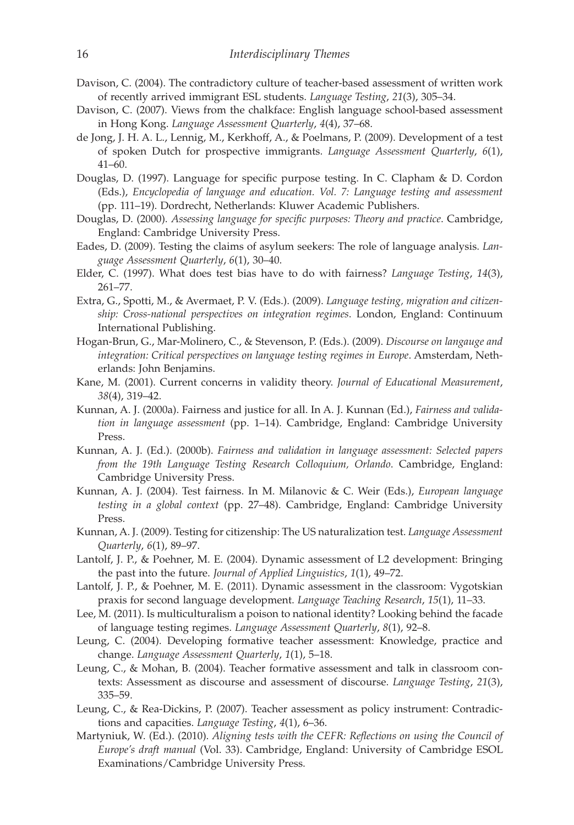- Davison, C. (2004). The contradictory culture of teacher-based assessment of written work of recently arrived immigrant ESL students. *Language Testing*, *21*(3), 305–34.
- Davison, C. (2007). Views from the chalkface: English language school-based assessment in Hong Kong. *Language Assessment Quarterly*, *4*(4), 37–68.
- de Jong, J. H. A. L., Lennig, M., Kerkhoff, A., & Poelmans, P. (2009). Development of a test of spoken Dutch for prospective immigrants. *Language Assessment Quarterly*, *6*(1), 41–60.
- Douglas, D. (1997). Language for specific purpose testing. In C. Clapham & D. Cordon (Eds.), *Encyclopedia of language and education. Vol. 7: Language testing and assessment* (pp. 111–19). Dordrecht, Netherlands: Kluwer Academic Publishers.
- Douglas, D. (2000). *Assessing language for specific purposes: Theory and practice*. Cambridge, England: Cambridge University Press.
- Eades, D. (2009). Testing the claims of asylum seekers: The role of language analysis. *Language Assessment Quarterly*, *6*(1), 30–40.
- Elder, C. (1997). What does test bias have to do with fairness? *Language Testing*, *14*(3), 261–77.
- Extra, G., Spotti, M., & Avermaet, P. V. (Eds.). (2009). *Language testing, migration and citizenship: Cross-national perspectives on integration regimes*. London, England: Continuum International Publishing.
- Hogan-Brun, G., Mar-Molinero, C., & Stevenson, P. (Eds.). (2009). *Discourse on langauge and integration: Critical perspectives on language testing regimes in Europe*. Amsterdam, Netherlands: John Benjamins.
- Kane, M. (2001). Current concerns in validity theory. *Journal of Educational Measurement*, *38*(4), 319–42.
- Kunnan, A. J. (2000a). Fairness and justice for all. In A. J. Kunnan (Ed.), *Fairness and validation in language assessment* (pp. 1–14). Cambridge, England: Cambridge University Press.
- Kunnan, A. J. (Ed.). (2000b). *Fairness and validation in language assessment: Selected papers from the 19th Language Testing Research Colloquium, Orlando*. Cambridge, England: Cambridge University Press.
- Kunnan, A. J. (2004). Test fairness. In M. Milanovic & C. Weir (Eds.), *European language testing in a global context* (pp. 27–48). Cambridge, England: Cambridge University Press.
- Kunnan, A. J. (2009). Testing for citizenship: The US naturalization test. *Language Assessment Quarterly*, *6*(1), 89–97.
- Lantolf, J. P., & Poehner, M. E. (2004). Dynamic assessment of L2 development: Bringing the past into the future. *Journal of Applied Linguistics*, *1*(1), 49–72.
- Lantolf, J. P., & Poehner, M. E. (2011). Dynamic assessment in the classroom: Vygotskian praxis for second language development. *Language Teaching Research*, *15*(1), 11–33.
- Lee, M. (2011). Is multiculturalism a poison to national identity? Looking behind the facade of language testing regimes. *Language Assessment Quarterly*, *8*(1), 92–8.
- Leung, C. (2004). Developing formative teacher assessment: Knowledge, practice and change. *Language Assessment Quarterly*, *1*(1), 5–18.
- Leung, C., & Mohan, B. (2004). Teacher formative assessment and talk in classroom contexts: Assessment as discourse and assessment of discourse. *Language Testing*, *21*(3), 335–59.
- Leung, C., & Rea-Dickins, P. (2007). Teacher assessment as policy instrument: Contradictions and capacities. *Language Testing*, *4*(1), 6–36.
- Martyniuk, W. (Ed.). (2010). *Aligning tests with the CEFR: Reflections on using the Council of Europe's draft manual* (Vol. 33). Cambridge, England: University of Cambridge ESOL Examinations/Cambridge University Press.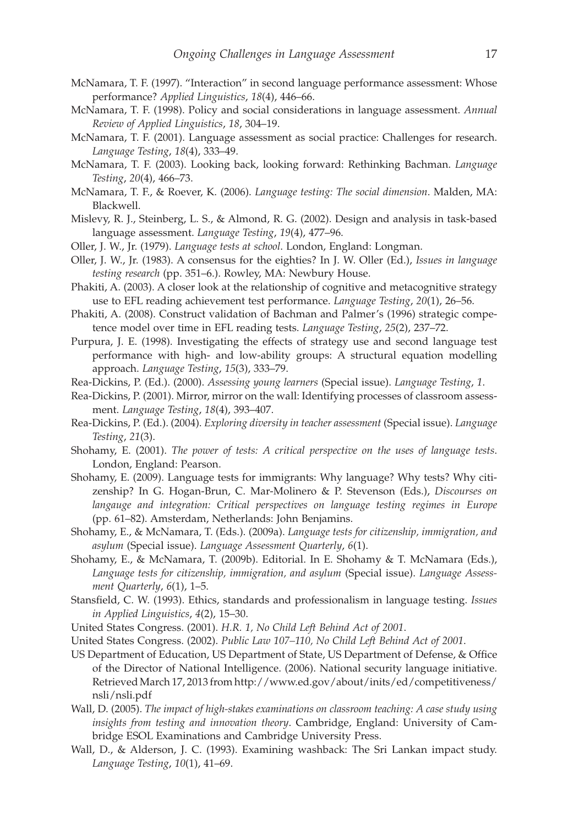- McNamara, T. F. (1997). "Interaction" in second language performance assessment: Whose performance? *Applied Linguistics*, *18*(4), 446–66.
- McNamara, T. F. (1998). Policy and social considerations in language assessment. *Annual Review of Applied Linguistics*, *18*, 304–19.
- McNamara, T. F. (2001). Language assessment as social practice: Challenges for research. *Language Testing*, *18*(4), 333–49.
- McNamara, T. F. (2003). Looking back, looking forward: Rethinking Bachman. *Language Testing*, *20*(4), 466–73.
- McNamara, T. F., & Roever, K. (2006). *Language testing: The social dimension*. Malden, MA: Blackwell.
- Mislevy, R. J., Steinberg, L. S., & Almond, R. G. (2002). Design and analysis in task-based language assessment. *Language Testing*, *19*(4), 477–96.
- Oller, J. W., Jr. (1979). *Language tests at school*. London, England: Longman.
- Oller, J. W., Jr. (1983). A consensus for the eighties? In J. W. Oller (Ed.), *Issues in language testing research* (pp. 351–6.). Rowley, MA: Newbury House.
- Phakiti, A. (2003). A closer look at the relationship of cognitive and metacognitive strategy use to EFL reading achievement test performance. *Language Testing*, *20*(1), 26–56.
- Phakiti, A. (2008). Construct validation of Bachman and Palmer's (1996) strategic competence model over time in EFL reading tests. *Language Testing*, *25*(2), 237–72.
- Purpura, J. E. (1998). Investigating the effects of strategy use and second language test performance with high- and low-ability groups: A structural equation modelling approach. *Language Testing*, *15*(3), 333–79.
- Rea-Dickins, P. (Ed.). (2000). *Assessing young learners* (Special issue). *Language Testing*, *1*.
- Rea-Dickins, P. (2001). Mirror, mirror on the wall: Identifying processes of classroom assessment. *Language Testing*, *18*(4), 393–407.
- Rea-Dickins, P. (Ed.). (2004). *Exploring diversity in teacher assessment* (Special issue). *Language Testing*, *21*(3).
- Shohamy, E. (2001). *The power of tests: A critical perspective on the uses of language tests*. London, England: Pearson.
- Shohamy, E. (2009). Language tests for immigrants: Why language? Why tests? Why citizenship? In G. Hogan-Brun, C. Mar-Molinero & P. Stevenson (Eds.), *Discourses on langauge and integration: Critical perspectives on language testing regimes in Europe* (pp. 61–82). Amsterdam, Netherlands: John Benjamins.
- Shohamy, E., & McNamara, T. (Eds.). (2009a). *Language tests for citizenship, immigration, and asylum* (Special issue). *Language Assessment Quarterly*, *6*(1).
- Shohamy, E., & McNamara, T. (2009b). Editorial. In E. Shohamy & T. McNamara (Eds.), *Language tests for citizenship, immigration, and asylum* (Special issue). *Language Assessment Quarterly*, *6*(1), 1–5.
- Stansfield, C. W. (1993). Ethics, standards and professionalism in language testing. *Issues in Applied Linguistics*, *4*(2), 15–30.
- United States Congress. (2001). *H.R. 1, No Child Left Behind Act of 2001*.
- United States Congress. (2002). *Public Law 107–110, No Child Left Behind Act of 2001*.
- US Department of Education, US Department of State, US Department of Defense, & Office of the Director of National Intelligence. (2006). National security language initiative. Retrieved March 17, 2013 from [http://www.ed.gov/about/inits/ed/competitiveness/](http://www.ed.gov/about/inits/ed/competitiveness/nsli/nsli.pdf) [nsli/nsli.pdf](http://www.ed.gov/about/inits/ed/competitiveness/nsli/nsli.pdf)
- Wall, D. (2005). *The impact of high-stakes examinations on classroom teaching: A case study using insights from testing and innovation theory*. Cambridge, England: University of Cambridge ESOL Examinations and Cambridge University Press.
- Wall, D., & Alderson, J. C. (1993). Examining washback: The Sri Lankan impact study. *Language Testing*, *10*(1), 41–69.